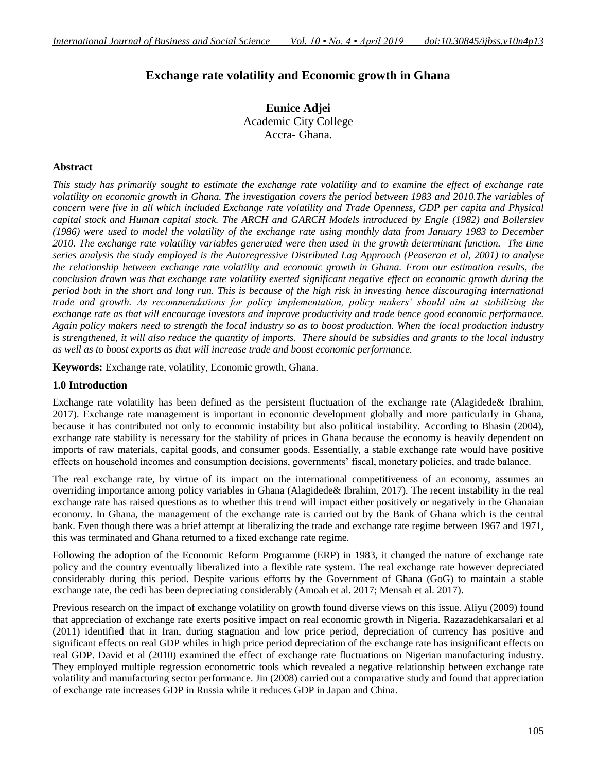# **Exchange rate volatility and Economic growth in Ghana**

**Eunice Adjei** Academic City College Accra- Ghana.

#### **Abstract**

*This study has primarily sought to estimate the exchange rate volatility and to examine the effect of exchange rate volatility on economic growth in Ghana. The investigation covers the period between 1983 and 2010.The variables of concern were five in all which included Exchange rate volatility and Trade Openness, GDP per capita and Physical capital stock and Human capital stock. The ARCH and GARCH Models introduced by Engle (1982) and Bollerslev (1986) were used to model the volatility of the exchange rate using monthly data from January 1983 to December*  2010. The exchange rate volatility variables generated were then used in the growth determinant function. The time *series analysis the study employed is the Autoregressive Distributed Lag Approach (Peaseran et al, 2001) to analyse the relationship between exchange rate volatility and economic growth in Ghana. From our estimation results, the conclusion drawn was that exchange rate volatility exerted significant negative effect on economic growth during the period both in the short and long run. This is because of the high risk in investing hence discouraging international trade and growth. As recommendations for policy implementation, policy makers' should aim at stabilizing the exchange rate as that will encourage investors and improve productivity and trade hence good economic performance. Again policy makers need to strength the local industry so as to boost production. When the local production industry is strengthened, it will also reduce the quantity of imports. There should be subsidies and grants to the local industry as well as to boost exports as that will increase trade and boost economic performance.*

**Keywords:** Exchange rate, volatility, Economic growth, Ghana.

#### **1.0 Introduction**

Exchange rate volatility has been defined as the persistent fluctuation of the exchange rate (Alagidede& Ibrahim, 2017). Exchange rate management is important in economic development globally and more particularly in Ghana, because it has contributed not only to economic instability but also political instability. According to Bhasin (2004), exchange rate stability is necessary for the stability of prices in Ghana because the economy is heavily dependent on imports of raw materials, capital goods, and consumer goods. Essentially, a stable exchange rate would have positive effects on household incomes and consumption decisions, governments' fiscal, monetary policies, and trade balance.

The real exchange rate, by virtue of its impact on the international competitiveness of an economy, assumes an overriding importance among policy variables in Ghana (Alagidede& Ibrahim, 2017). The recent instability in the real exchange rate has raised questions as to whether this trend will impact either positively or negatively in the Ghanaian economy. In Ghana, the management of the exchange rate is carried out by the Bank of Ghana which is the central bank. Even though there was a brief attempt at liberalizing the trade and exchange rate regime between 1967 and 1971, this was terminated and Ghana returned to a fixed exchange rate regime.

Following the adoption of the Economic Reform Programme (ERP) in 1983, it changed the nature of exchange rate policy and the country eventually liberalized into a flexible rate system. The real exchange rate however depreciated considerably during this period. Despite various efforts by the Government of Ghana (GoG) to maintain a stable exchange rate, the cedi has been depreciating considerably (Amoah et al. 2017; Mensah et al. 2017).

Previous research on the impact of exchange volatility on growth found diverse views on this issue. Aliyu (2009) found that appreciation of exchange rate exerts positive impact on real economic growth in Nigeria. Razazadehkarsalari et al (2011) identified that in Iran, during stagnation and low price period, depreciation of currency has positive and significant effects on real GDP whiles in high price period depreciation of the exchange rate has insignificant effects on real GDP. David et al (2010) examined the effect of exchange rate fluctuations on Nigerian manufacturing industry. They employed multiple regression econometric tools which revealed a negative relationship between exchange rate volatility and manufacturing sector performance. Jin (2008) carried out a comparative study and found that appreciation of exchange rate increases GDP in Russia while it reduces GDP in Japan and China.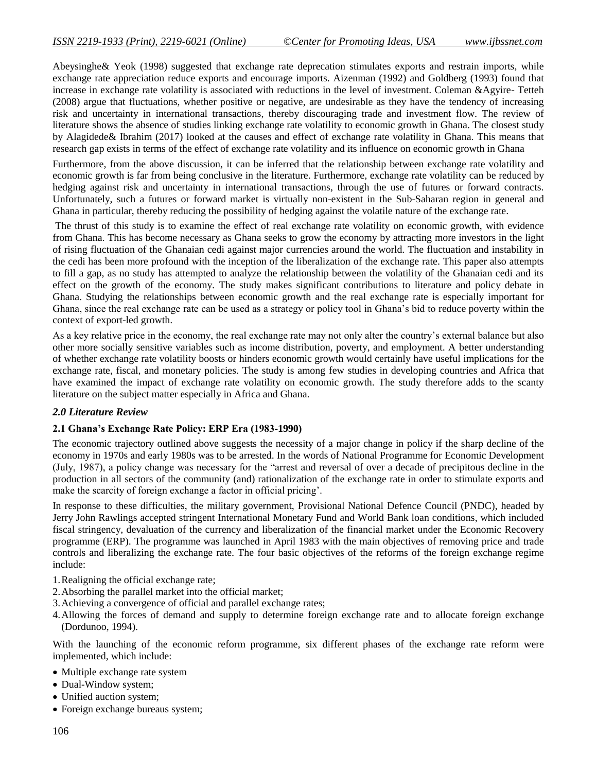Abeysinghe& Yeok (1998) suggested that exchange rate deprecation stimulates exports and restrain imports, while exchange rate appreciation reduce exports and encourage imports. Aizenman (1992) and Goldberg (1993) found that increase in exchange rate volatility is associated with reductions in the level of investment. Coleman &Agyire- Tetteh (2008) argue that fluctuations, whether positive or negative, are undesirable as they have the tendency of increasing risk and uncertainty in international transactions, thereby discouraging trade and investment flow. The review of literature shows the absence of studies linking exchange rate volatility to economic growth in Ghana. The closest study by Alagidede& Ibrahim (2017) looked at the causes and effect of exchange rate volatility in Ghana. This means that research gap exists in terms of the effect of exchange rate volatility and its influence on economic growth in Ghana

Furthermore, from the above discussion, it can be inferred that the relationship between exchange rate volatility and economic growth is far from being conclusive in the literature. Furthermore, exchange rate volatility can be reduced by hedging against risk and uncertainty in international transactions, through the use of futures or forward contracts. Unfortunately, such a futures or forward market is virtually non-existent in the Sub-Saharan region in general and Ghana in particular, thereby reducing the possibility of hedging against the volatile nature of the exchange rate.

The thrust of this study is to examine the effect of real exchange rate volatility on economic growth, with evidence from Ghana. This has become necessary as Ghana seeks to grow the economy by attracting more investors in the light of rising fluctuation of the Ghanaian cedi against major currencies around the world. The fluctuation and instability in the cedi has been more profound with the inception of the liberalization of the exchange rate. This paper also attempts to fill a gap, as no study has attempted to analyze the relationship between the volatility of the Ghanaian cedi and its effect on the growth of the economy. The study makes significant contributions to literature and policy debate in Ghana. Studying the relationships between economic growth and the real exchange rate is especially important for Ghana, since the real exchange rate can be used as a strategy or policy tool in Ghana's bid to reduce poverty within the context of export-led growth.

As a key relative price in the economy, the real exchange rate may not only alter the country's external balance but also other more socially sensitive variables such as income distribution, poverty, and employment. A better understanding of whether exchange rate volatility boosts or hinders economic growth would certainly have useful implications for the exchange rate, fiscal, and monetary policies. The study is among few studies in developing countries and Africa that have examined the impact of exchange rate volatility on economic growth. The study therefore adds to the scanty literature on the subject matter especially in Africa and Ghana.

## *2.0 Literature Review*

## **2.1 Ghana's Exchange Rate Policy: ERP Era (1983-1990)**

The economic trajectory outlined above suggests the necessity of a major change in policy if the sharp decline of the economy in 1970s and early 1980s was to be arrested. In the words of National Programme for Economic Development (July, 1987), a policy change was necessary for the "arrest and reversal of over a decade of precipitous decline in the production in all sectors of the community (and) rationalization of the exchange rate in order to stimulate exports and make the scarcity of foreign exchange a factor in official pricing'.

In response to these difficulties, the military government, Provisional National Defence Council (PNDC), headed by Jerry John Rawlings accepted stringent International Monetary Fund and World Bank loan conditions, which included fiscal stringency, devaluation of the currency and liberalization of the financial market under the Economic Recovery programme (ERP). The programme was launched in April 1983 with the main objectives of removing price and trade controls and liberalizing the exchange rate. The four basic objectives of the reforms of the foreign exchange regime include:

- 1.Realigning the official exchange rate;
- 2.Absorbing the parallel market into the official market;
- 3.Achieving a convergence of official and parallel exchange rates;
- 4.Allowing the forces of demand and supply to determine foreign exchange rate and to allocate foreign exchange (Dordunoo, 1994).

With the launching of the economic reform programme, six different phases of the exchange rate reform were implemented, which include:

- Multiple exchange rate system
- Dual-Window system;
- Unified auction system;
- Foreign exchange bureaus system;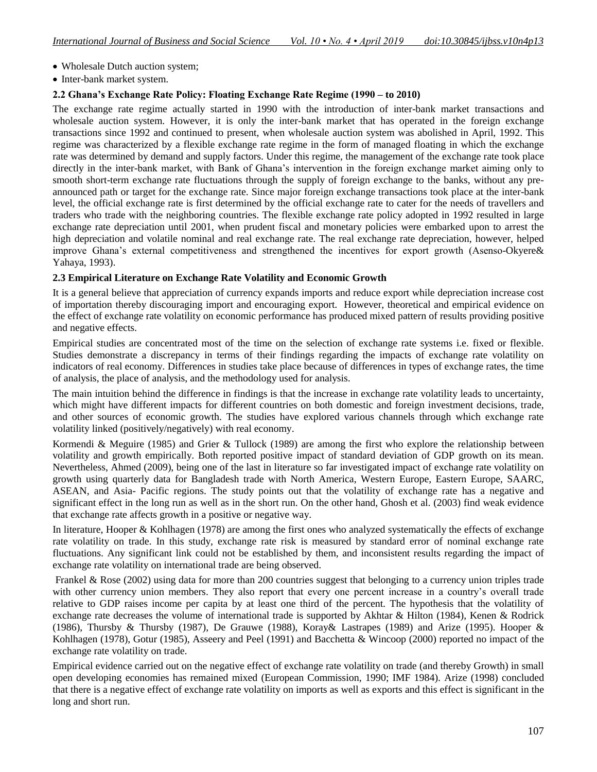- Wholesale Dutch auction system;
- Inter-bank market system.

## **2.2 Ghana's Exchange Rate Policy: Floating Exchange Rate Regime (1990 – to 2010)**

The exchange rate regime actually started in 1990 with the introduction of inter-bank market transactions and wholesale auction system. However, it is only the inter-bank market that has operated in the foreign exchange transactions since 1992 and continued to present, when wholesale auction system was abolished in April, 1992. This regime was characterized by a flexible exchange rate regime in the form of managed floating in which the exchange rate was determined by demand and supply factors. Under this regime, the management of the exchange rate took place directly in the inter-bank market, with Bank of Ghana's intervention in the foreign exchange market aiming only to smooth short-term exchange rate fluctuations through the supply of foreign exchange to the banks, without any preannounced path or target for the exchange rate. Since major foreign exchange transactions took place at the inter-bank level, the official exchange rate is first determined by the official exchange rate to cater for the needs of travellers and traders who trade with the neighboring countries. The flexible exchange rate policy adopted in 1992 resulted in large exchange rate depreciation until 2001, when prudent fiscal and monetary policies were embarked upon to arrest the high depreciation and volatile nominal and real exchange rate. The real exchange rate depreciation, however, helped improve Ghana's external competitiveness and strengthened the incentives for export growth (Asenso-Okyere& Yahaya, 1993).

#### **2.3 Empirical Literature on Exchange Rate Volatility and Economic Growth**

It is a general believe that appreciation of currency expands imports and reduce export while depreciation increase cost of importation thereby discouraging import and encouraging export. However, theoretical and empirical evidence on the effect of exchange rate volatility on economic performance has produced mixed pattern of results providing positive and negative effects.

Empirical studies are concentrated most of the time on the selection of exchange rate systems i.e. fixed or flexible. Studies demonstrate a discrepancy in terms of their findings regarding the impacts of exchange rate volatility on indicators of real economy. Differences in studies take place because of differences in types of exchange rates, the time of analysis, the place of analysis, and the methodology used for analysis.

The main intuition behind the difference in findings is that the increase in exchange rate volatility leads to uncertainty, which might have different impacts for different countries on both domestic and foreign investment decisions, trade, and other sources of economic growth. The studies have explored various channels through which exchange rate volatility linked (positively/negatively) with real economy.

Kormendi & Meguire (1985) and Grier & Tullock (1989) are among the first who explore the relationship between volatility and growth empirically. Both reported positive impact of standard deviation of GDP growth on its mean. Nevertheless, Ahmed (2009), being one of the last in literature so far investigated impact of exchange rate volatility on growth using quarterly data for Bangladesh trade with North America, Western Europe, Eastern Europe, SAARC, ASEAN, and Asia- Pacific regions. The study points out that the volatility of exchange rate has a negative and significant effect in the long run as well as in the short run. On the other hand, Ghosh et al. (2003) find weak evidence that exchange rate affects growth in a positive or negative way.

In literature, Hooper & Kohlhagen (1978) are among the first ones who analyzed systematically the effects of exchange rate volatility on trade. In this study, exchange rate risk is measured by standard error of nominal exchange rate fluctuations. Any significant link could not be established by them, and inconsistent results regarding the impact of exchange rate volatility on international trade are being observed.

Frankel & Rose (2002) using data for more than 200 countries suggest that belonging to a currency union triples trade with other currency union members. They also report that every one percent increase in a country's overall trade relative to GDP raises income per capita by at least one third of the percent. The hypothesis that the volatility of exchange rate decreases the volume of international trade is supported by Akhtar & Hilton (1984), Kenen & Rodrick (1986), Thursby & Thursby (1987), De Grauwe (1988), Koray& Lastrapes (1989) and Arize (1995). Hooper & Kohlhagen (1978), Gotur (1985), Asseery and Peel (1991) and Bacchetta & Wincoop (2000) reported no impact of the exchange rate volatility on trade.

Empirical evidence carried out on the negative effect of exchange rate volatility on trade (and thereby Growth) in small open developing economies has remained mixed (European Commission, 1990; IMF 1984). Arize (1998) concluded that there is a negative effect of exchange rate volatility on imports as well as exports and this effect is significant in the long and short run.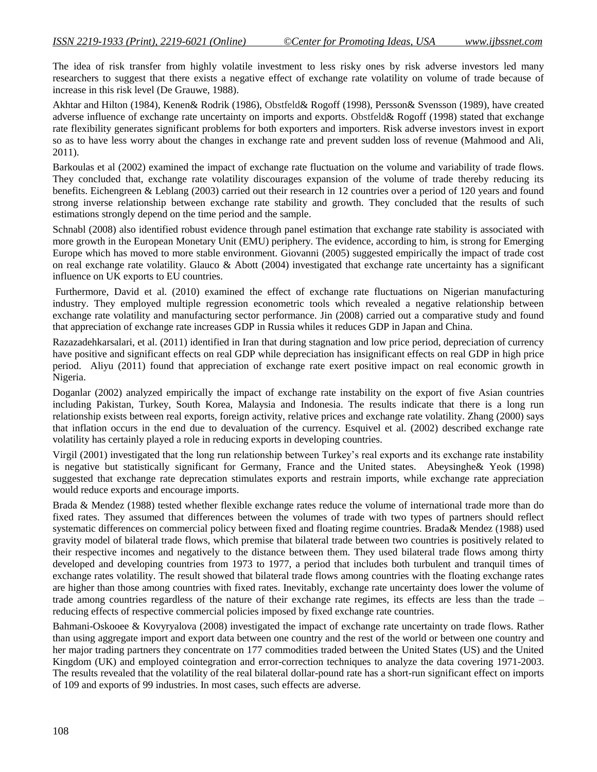The idea of risk transfer from highly volatile investment to less risky ones by risk adverse investors led many researchers to suggest that there exists a negative effect of exchange rate volatility on volume of trade because of increase in this risk level (De Grauwe, 1988).

Akhtar and Hilton (1984), Kenen& Rodrik (1986), Obstfeld& Rogoff (1998), Persson& Svensson (1989), have created adverse influence of exchange rate uncertainty on imports and exports. Obstfeld& Rogoff (1998) stated that exchange rate flexibility generates significant problems for both exporters and importers. Risk adverse investors invest in export so as to have less worry about the changes in exchange rate and prevent sudden loss of revenue (Mahmood and Ali, 2011).

Barkoulas et al (2002) examined the impact of exchange rate fluctuation on the volume and variability of trade flows. They concluded that, exchange rate volatility discourages expansion of the volume of trade thereby reducing its benefits. Eichengreen & Leblang (2003) carried out their research in 12 countries over a period of 120 years and found strong inverse relationship between exchange rate stability and growth. They concluded that the results of such estimations strongly depend on the time period and the sample.

Schnabl (2008) also identified robust evidence through panel estimation that exchange rate stability is associated with more growth in the European Monetary Unit (EMU) periphery. The evidence, according to him, is strong for Emerging Europe which has moved to more stable environment. Giovanni (2005) suggested empirically the impact of trade cost on real exchange rate volatility. Glauco & Abott (2004) investigated that exchange rate uncertainty has a significant influence on UK exports to EU countries.

Furthermore, David et al. (2010) examined the effect of exchange rate fluctuations on Nigerian manufacturing industry. They employed multiple regression econometric tools which revealed a negative relationship between exchange rate volatility and manufacturing sector performance. Jin (2008) carried out a comparative study and found that appreciation of exchange rate increases GDP in Russia whiles it reduces GDP in Japan and China.

Razazadehkarsalari, et al. (2011) identified in Iran that during stagnation and low price period, depreciation of currency have positive and significant effects on real GDP while depreciation has insignificant effects on real GDP in high price period. Aliyu (2011) found that appreciation of exchange rate exert positive impact on real economic growth in Nigeria.

Doganlar (2002) analyzed empirically the impact of exchange rate instability on the export of five Asian countries including Pakistan, Turkey, South Korea, Malaysia and Indonesia. The results indicate that there is a long run relationship exists between real exports, foreign activity, relative prices and exchange rate volatility. Zhang (2000) says that inflation occurs in the end due to devaluation of the currency. Esquivel et al. (2002) described exchange rate volatility has certainly played a role in reducing exports in developing countries.

Virgil (2001) investigated that the long run relationship between Turkey's real exports and its exchange rate instability is negative but statistically significant for Germany, France and the United states. Abeysinghe& Yeok (1998) suggested that exchange rate deprecation stimulates exports and restrain imports, while exchange rate appreciation would reduce exports and encourage imports.

Brada & Mendez (1988) tested whether flexible exchange rates reduce the volume of international trade more than do fixed rates. They assumed that differences between the volumes of trade with two types of partners should reflect systematic differences on commercial policy between fixed and floating regime countries. Brada& Mendez (1988) used gravity model of bilateral trade flows, which premise that bilateral trade between two countries is positively related to their respective incomes and negatively to the distance between them. They used bilateral trade flows among thirty developed and developing countries from 1973 to 1977, a period that includes both turbulent and tranquil times of exchange rates volatility. The result showed that bilateral trade flows among countries with the floating exchange rates are higher than those among countries with fixed rates. Inevitably, exchange rate uncertainty does lower the volume of trade among countries regardless of the nature of their exchange rate regimes, its effects are less than the trade – reducing effects of respective commercial policies imposed by fixed exchange rate countries.

Bahmani-Oskooee & Kovyryalova (2008) investigated the impact of exchange rate uncertainty on trade flows. Rather than using aggregate import and export data between one country and the rest of the world or between one country and her major trading partners they concentrate on 177 commodities traded between the United States (US) and the United Kingdom (UK) and employed cointegration and error-correction techniques to analyze the data covering 1971-2003. The results revealed that the volatility of the real bilateral dollar-pound rate has a short-run significant effect on imports of 109 and exports of 99 industries. In most cases, such effects are adverse.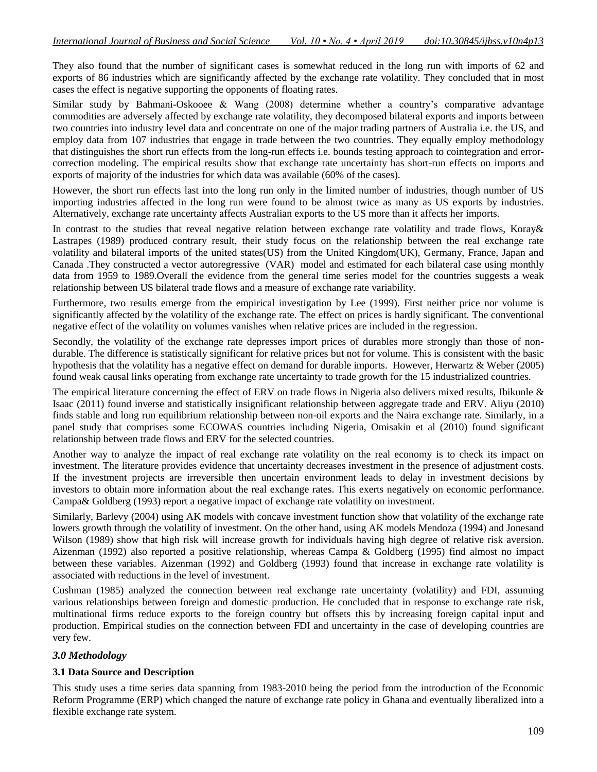They also found that the number of significant cases is somewhat reduced in the long run with imports of 62 and exports of 86 industries which are significantly affected by the exchange rate volatility. They concluded that in most cases the effect is negative supporting the opponents of floating rates.

Similar study by Bahmani-Oskooee & Wang (2008) determine whether a country's comparative advantage commodities are adversely affected by exchange rate volatility, they decomposed bilateral exports and imports between two countries into industry level data and concentrate on one of the major trading partners of Australia i.e. the US, and employ data from 107 industries that engage in trade between the two countries. They equally employ methodology that distinguishes the short run effects from the long-run effects i.e. bounds testing approach to cointegration and errorcorrection modeling. The empirical results show that exchange rate uncertainty has short-run effects on imports and exports of majority of the industries for which data was available (60% of the cases).

However, the short run effects last into the long run only in the limited number of industries, though number of US importing industries affected in the long run were found to be almost twice as many as US exports by industries. Alternatively, exchange rate uncertainty affects Australian exports to the US more than it affects her imports.

In contrast to the studies that reveal negative relation between exchange rate volatility and trade flows, Koray& Lastrapes (1989) produced contrary result, their study focus on the relationship between the real exchange rate volatility and bilateral imports of the united states(US) from the United Kingdom(UK), Germany, France, Japan and Canada .They constructed a vector autoregressive (VAR) model and estimated for each bilateral case using monthly data from 1959 to 1989.Overall the evidence from the general time series model for the countries suggests a weak relationship between US bilateral trade flows and a measure of exchange rate variability.

Furthermore, two results emerge from the empirical investigation by Lee (1999). First neither price nor volume is significantly affected by the volatility of the exchange rate. The effect on prices is hardly significant. The conventional negative effect of the volatility on volumes vanishes when relative prices are included in the regression.

Secondly, the volatility of the exchange rate depresses import prices of durables more strongly than those of nondurable. The difference is statistically significant for relative prices but not for volume. This is consistent with the basic hypothesis that the volatility has a negative effect on demand for durable imports. However, Herwartz & Weber (2005) found weak causal links operating from exchange rate uncertainty to trade growth for the 15 industrialized countries.

The empirical literature concerning the effect of ERV on trade flows in Nigeria also delivers mixed results, Ibikunle  $\&$ Isaac (2011) found inverse and statistically insignificant relationship between aggregate trade and ERV. Aliyu (2010) finds stable and long run equilibrium relationship between non-oil exports and the Naira exchange rate. Similarly, in a panel study that comprises some ECOWAS countries including Nigeria, Omisakin et al (2010) found significant relationship between trade flows and ERV for the selected countries.

Another way to analyze the impact of real exchange rate volatility on the real economy is to check its impact on investment. The literature provides evidence that uncertainty decreases investment in the presence of adjustment costs. If the investment projects are irreversible then uncertain environment leads to delay in investment decisions by investors to obtain more information about the real exchange rates. This exerts negatively on economic performance. Campa& Goldberg (1993) report a negative impact of exchange rate volatility on investment.

Similarly, Barlevy (2004) using AK models with concave investment function show that volatility of the exchange rate lowers growth through the volatility of investment. On the other hand, using AK models Mendoza (1994) and Jonesand Wilson (1989) show that high risk will increase growth for individuals having high degree of relative risk aversion. Aizenman (1992) also reported a positive relationship, whereas Campa & Goldberg (1995) find almost no impact between these variables. Aizenman (1992) and Goldberg (1993) found that increase in exchange rate volatility is associated with reductions in the level of investment.

Cushman (1985) analyzed the connection between real exchange rate uncertainty (volatility) and FDI, assuming various relationships between foreign and domestic production. He concluded that in response to exchange rate risk, multinational firms reduce exports to the foreign country but offsets this by increasing foreign capital input and production. Empirical studies on the connection between FDI and uncertainty in the case of developing countries are very few.

## *3.0 Methodology*

## **3.1 Data Source and Description**

This study uses a time series data spanning from 1983-2010 being the period from the introduction of the Economic Reform Programme (ERP) which changed the nature of exchange rate policy in Ghana and eventually liberalized into a flexible exchange rate system.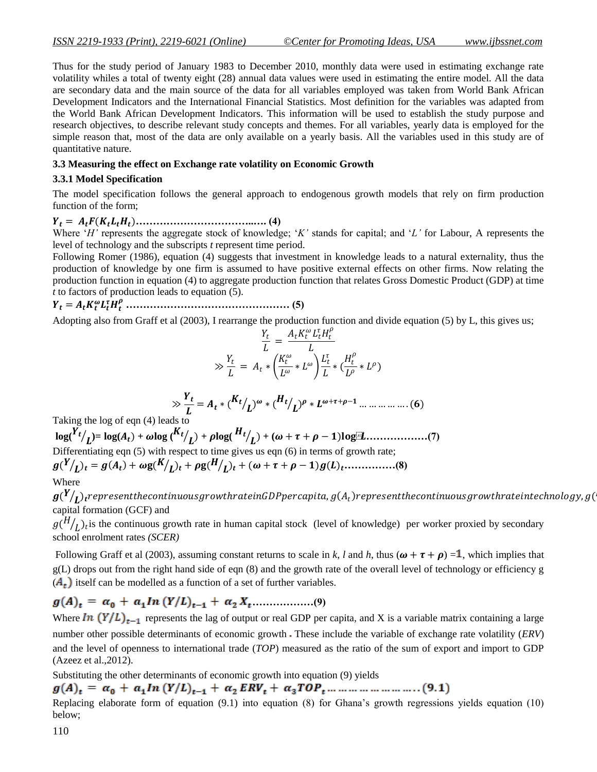Thus for the study period of January 1983 to December 2010, monthly data were used in estimating exchange rate volatility whiles a total of twenty eight (28) annual data values were used in estimating the entire model. All the data are secondary data and the main source of the data for all variables employed was taken from World Bank African Development Indicators and the International Financial Statistics. Most definition for the variables was adapted from the World Bank African Development Indicators. This information will be used to establish the study purpose and research objectives, to describe relevant study concepts and themes. For all variables, yearly data is employed for the simple reason that, most of the data are only available on a yearly basis. All the variables used in this study are of quantitative nature.

## **3.3 Measuring the effect on Exchange rate volatility on Economic Growth**

## **3.3.1 Model Specification**

The model specification follows the general approach to endogenous growth models that rely on firm production function of the form;

# = **……………………………..…. (4)**

Where '*H'* represents the aggregate stock of knowledge; '*K'* stands for capital; and '*L'* for Labour, A represents the level of technology and the subscripts *t* represent time period.

Following Romer (1986), equation (4) suggests that investment in knowledge leads to a natural externality, thus the production of knowledge by one firm is assumed to have positive external effects on other firms. Now relating the production function in equation (4) to aggregate production function that relates Gross Domestic Product (GDP) at time *t* to factors of production leads to equation (5).

$$
Y_t = A_t K_t^{\omega} L_t^{\tau} H_t^{\rho} \dots \dots \dots \dots \dots \dots \dots \dots \dots \dots \dots \dots \dots \dots \dots \dots \dots \tag{5}
$$

Adopting also from Graff et al (2003), I rearrange the production function and divide equation (5) by L, this gives us;

$$
\frac{Y_t}{L} = \frac{A_t K_t^{\omega} L_t^{\tau} H_t^{\rho}}{L}
$$
\n
$$
\gg \frac{Y_t}{L} = A_t * \left(\frac{K_t^{\omega}}{L^{\omega}} * L^{\omega}\right) \frac{L_t^{\tau}}{L} * \left(\frac{H_t^{\rho}}{L^{\rho}} * L^{\rho}\right)
$$

≫ = ∗ ( ) ∗ ( ) ∗ ++− … … … … … . ()

Taking the log of eqn (4) leads to

**log( )= log(**) **<sup>+</sup>log (** ) **<sup>+</sup>log(**  ) **+ (** + + − )**………………(7)** Differentiating eqn (5) with respect to time gives us eqn (6) in terms of growth rate; ( ) = + ( ) <sup>+</sup> ( ) + ( + + − )()**……………(8)** Where

 $\bm{g}(\bm{Y}_{\bm{\prime}}\bm{I})_t$ representthecontinuousgrowthrateinGDPpercapita, g $(A_t)$ representthecontinuousgrowthrateintechnology, g( capital formation (GCF) and

 $g(H)/g$  is the continuous growth rate in human capital stock (level of knowledge) per worker proxied by secondary school enrolment rates *(SCER)*

Following Graff et al (2003), assuming constant returns to scale in *k*, *l* and *h*, thus  $(\omega + \tau + \rho) = 1$ , which implies that  $g(L)$  drops out from the right hand side of eqn (8) and the growth rate of the overall level of technology or efficiency g  $(A<sub>+</sub>)$  itself can be modelled as a function of a set of further variables.

# **………………(9)**

Where  $\ln (Y/L)_{t-1}$  represents the lag of output or real GDP per capita, and X is a variable matrix containing a large number other possible determinants of economic growth These include the variable of exchange rate volatility (*ERV*) and the level of openness to international trade (*TOP*) measured as the ratio of the sum of export and import to GDP (Azeez et al.,2012).

Substituting the other determinants of economic growth into equation (9) yields

 $g(A)_t = \alpha_0 + a_1 In (Y/L)_{t-1} + \alpha_2 ERV_t + \alpha_3 TOP_t \dots \dots \dots \dots \dots \dots \dots (9.1)$ 

Replacing elaborate form of equation (9.1) into equation (8) for Ghana's growth regressions yields equation (10) below;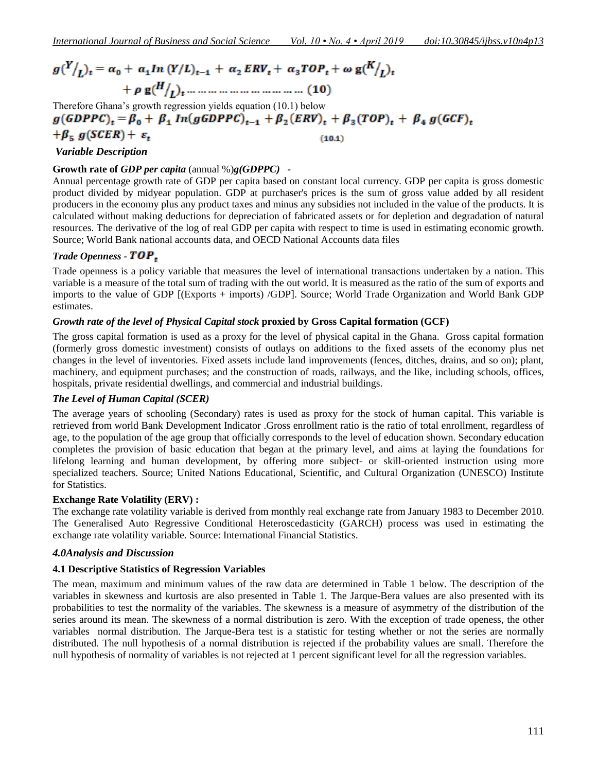Therefore Ghana's growth regression yields equation (10.1) below<br> $g(GDPPC)_t = \beta_0 + \beta_1 In(gGDPPC)_{t-1} + \beta_2 (ERN)_t + \beta_3 (TOP)_t + \beta_4 g(GCF)_t$  $+\beta_5$  g(SCER) +  $\varepsilon_t$  $(10.1)$ 

#### *Variable Description*

#### **Growth rate of** *GDP per capita* (annual %)*g(GDPPC) -*

Annual percentage growth rate of GDP per capita based on constant local currency. GDP per capita is gross domestic product divided by midyear population. GDP at purchaser's prices is the sum of gross value added by all resident producers in the economy plus any product taxes and minus any subsidies not included in the value of the products. It is calculated without making deductions for depreciation of fabricated assets or for depletion and degradation of natural resources. The derivative of the log of real GDP per capita with respect to time is used in estimating economic growth. Source; World Bank national accounts data, and OECD National Accounts data files

## *Trade Openness -*

Trade openness is a policy variable that measures the level of international transactions undertaken by a nation. This variable is a measure of the total sum of trading with the out world. It is measured as the ratio of the sum of exports and imports to the value of GDP [(Exports + imports) /GDP]. Source; World Trade Organization and World Bank GDP estimates.

#### *Growth rate of the level of Physical Capital stock* **proxied by Gross Capital formation (GCF)**

The gross capital formation is used as a proxy for the level of physical capital in the Ghana. Gross capital formation (formerly gross domestic investment) consists of outlays on additions to the fixed assets of the economy plus net changes in the level of inventories. Fixed assets include land improvements (fences, ditches, drains, and so on); plant, machinery, and equipment purchases; and the construction of roads, railways, and the like, including schools, offices, hospitals, private residential dwellings, and commercial and industrial buildings.

#### *The Level of Human Capital (SCER)*

The average years of schooling (Secondary) rates is used as proxy for the stock of human capital. This variable is retrieved from world Bank Development Indicator .Gross enrollment ratio is the ratio of total enrollment, regardless of age, to the population of the age group that officially corresponds to the level of education shown. Secondary education completes the provision of basic education that began at the primary level, and aims at laying the foundations for lifelong learning and human development, by offering more subject- or skill-oriented instruction using more specialized teachers. Source; United Nations Educational, Scientific, and Cultural Organization (UNESCO) Institute for Statistics.

#### **Exchange Rate Volatility (ERV) :**

The exchange rate volatility variable is derived from monthly real exchange rate from January 1983 to December 2010. The Generalised Auto Regressive Conditional Heteroscedasticity (GARCH) process was used in estimating the exchange rate volatility variable. Source: International Financial Statistics.

#### *4.0Analysis and Discussion*

#### **4.1 Descriptive Statistics of Regression Variables**

The mean, maximum and minimum values of the raw data are determined in Table 1 below. The description of the variables in skewness and kurtosis are also presented in Table 1. The Jarque-Bera values are also presented with its probabilities to test the normality of the variables. The skewness is a measure of asymmetry of the distribution of the series around its mean. The skewness of a normal distribution is zero. With the exception of trade openess, the other variables normal distribution. The Jarque-Bera test is a statistic for testing whether or not the series are normally distributed. The null hypothesis of a normal distribution is rejected if the probability values are small. Therefore the null hypothesis of normality of variables is not rejected at 1 percent significant level for all the regression variables.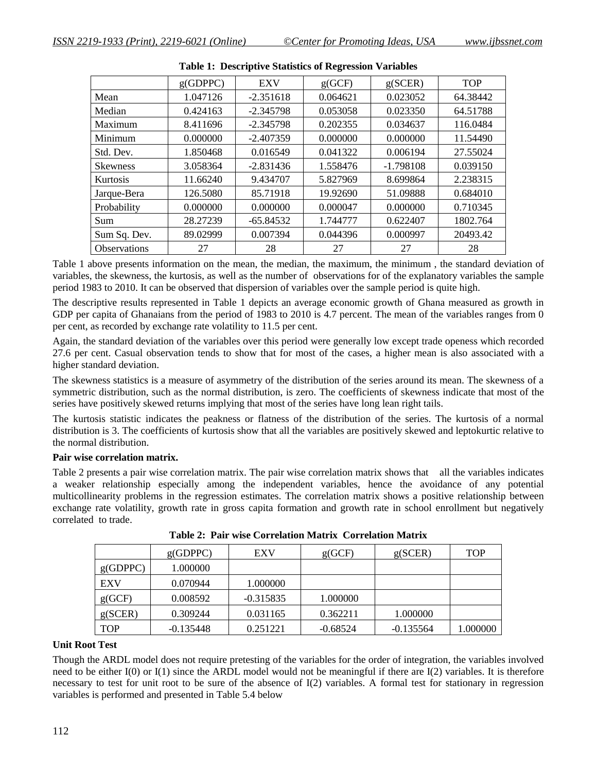|                 | g(GDPPC) | <b>EXV</b>  | g(GCF)   | g(SCER)     | <b>TOP</b> |
|-----------------|----------|-------------|----------|-------------|------------|
| Mean            | 1.047126 | $-2.351618$ | 0.064621 | 0.023052    | 64.38442   |
| Median          | 0.424163 | $-2.345798$ | 0.053058 | 0.023350    | 64.51788   |
| Maximum         | 8.411696 | $-2.345798$ | 0.202355 | 0.034637    | 116.0484   |
| Minimum         | 0.000000 | $-2.407359$ | 0.000000 | 0.000000    | 11.54490   |
| Std. Dev.       | 1.850468 | 0.016549    | 0.041322 | 0.006194    | 27.55024   |
| <b>Skewness</b> | 3.058364 | $-2.831436$ | 1.558476 | $-1.798108$ | 0.039150   |
| Kurtosis        | 11.66240 | 9.434707    | 5.827969 | 8.699864    | 2.238315   |
| Jarque-Bera     | 126.5080 | 85.71918    | 19.92690 | 51.09888    | 0.684010   |
| Probability     | 0.000000 | 0.000000    | 0.000047 | 0.000000    | 0.710345   |
| Sum             | 28.27239 | $-65.84532$ | 1.744777 | 0.622407    | 1802.764   |
| Sum Sq. Dev.    | 89.02999 | 0.007394    | 0.044396 | 0.000997    | 20493.42   |
| Observations    | 27       | 28          | 27       | 27          | 28         |

Table 1 above presents information on the mean, the median, the maximum, the minimum , the standard deviation of variables, the skewness, the kurtosis, as well as the number of observations for of the explanatory variables the sample period 1983 to 2010. It can be observed that dispersion of variables over the sample period is quite high.

The descriptive results represented in Table 1 depicts an average economic growth of Ghana measured as growth in GDP per capita of Ghanaians from the period of 1983 to 2010 is 4.7 percent. The mean of the variables ranges from 0 per cent, as recorded by exchange rate volatility to 11.5 per cent.

Again, the standard deviation of the variables over this period were generally low except trade openess which recorded 27.6 per cent. Casual observation tends to show that for most of the cases, a higher mean is also associated with a higher standard deviation.

The skewness statistics is a measure of asymmetry of the distribution of the series around its mean. The skewness of a symmetric distribution, such as the normal distribution, is zero. The coefficients of skewness indicate that most of the series have positively skewed returns implying that most of the series have long lean right tails.

The kurtosis statistic indicates the peakness or flatness of the distribution of the series. The kurtosis of a normal distribution is 3. The coefficients of kurtosis show that all the variables are positively skewed and leptokurtic relative to the normal distribution.

## **Pair wise correlation matrix.**

Table 2 presents a pair wise correlation matrix. The pair wise correlation matrix shows that all the variables indicates a weaker relationship especially among the independent variables, hence the avoidance of any potential multicollinearity problems in the regression estimates. The correlation matrix shows a positive relationship between exchange rate volatility, growth rate in gross capita formation and growth rate in school enrollment but negatively correlated to trade.

|            | g(GDPPC)    | EXV         | g(GCF)     | g(SCER)     | TOP      |
|------------|-------------|-------------|------------|-------------|----------|
| g(GDPPC)   | 1.000000    |             |            |             |          |
| EXV        | 0.070944    | 1.000000    |            |             |          |
| g(GCF)     | 0.008592    | $-0.315835$ | 1.000000   |             |          |
| g(SCER)    | 0.309244    | 0.031165    | 0.362211   | 1.000000    |          |
| <b>TOP</b> | $-0.135448$ | 0.251221    | $-0.68524$ | $-0.135564$ | 1.000000 |

**Table 2: Pair wise Correlation Matrix Correlation Matrix**

## **Unit Root Test**

Though the ARDL model does not require pretesting of the variables for the order of integration, the variables involved need to be either I(0) or I(1) since the ARDL model would not be meaningful if there are I(2) variables. It is therefore necessary to test for unit root to be sure of the absence of I(2) variables. A formal test for stationary in regression variables is performed and presented in Table 5.4 below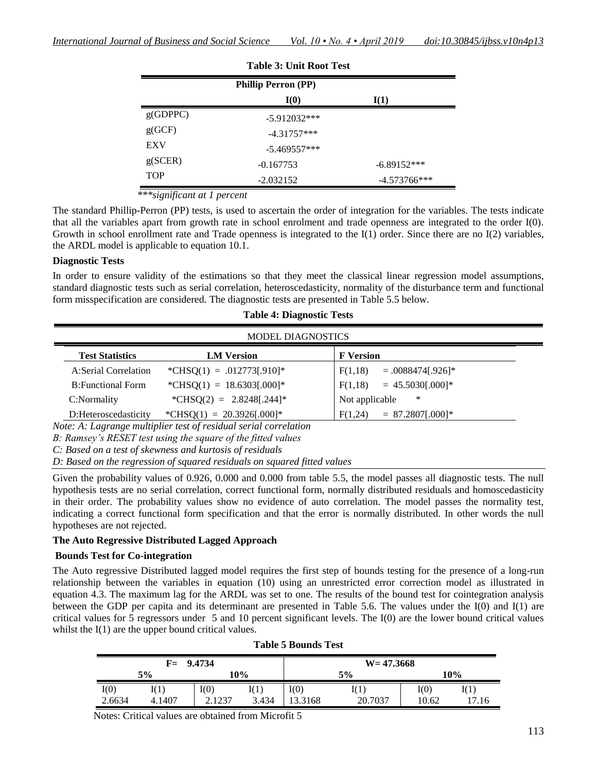| Table 3: Unit Root Test |                            |                 |  |  |  |
|-------------------------|----------------------------|-----------------|--|--|--|
|                         | <b>Phillip Perron (PP)</b> |                 |  |  |  |
|                         | I(0)                       | I(1)            |  |  |  |
| g(GDPPC)                | $-5.912032***$             |                 |  |  |  |
| g(GCF)                  | $-4.31757***$              |                 |  |  |  |
| <b>EXV</b>              | $-5.469557***$             |                 |  |  |  |
| g(SCER)                 | $-0.167753$                | $-6.89152***$   |  |  |  |
| <b>TOP</b>              | $-2.032152$                | $-4.573766$ *** |  |  |  |

 *\*\*\*significant at 1 percent*

The standard Phillip-Perron (PP) tests, is used to ascertain the order of integration for the variables. The tests indicate that all the variables apart from growth rate in school enrolment and trade openness are integrated to the order I(0). Growth in school enrollment rate and Trade openness is integrated to the  $I(1)$  order. Since there are no  $I(2)$  variables, the ARDL model is applicable to equation 10.1.

#### **Diagnostic Tests**

In order to ensure validity of the estimations so that they meet the classical linear regression model assumptions, standard diagnostic tests such as serial correlation, heteroscedasticity, normality of the disturbance term and functional form misspecification are considered. The diagnostic tests are presented in Table 5.5 below.

| <b>Table 4: Diagnostic Tests</b> |  |  |  |
|----------------------------------|--|--|--|
|----------------------------------|--|--|--|

| <b>MODEL DIAGNOSTICS</b> |                                     |                                |  |  |  |  |  |
|--------------------------|-------------------------------------|--------------------------------|--|--|--|--|--|
| <b>Test Statistics</b>   | <b>LM Version</b>                   | <b>F</b> Version               |  |  |  |  |  |
| A:Serial Correlation     | *CHSQ(1) = $.012773[.910]$ *        | F(1,18)<br>$= .0088474[.926]*$ |  |  |  |  |  |
| <b>B:Functional Form</b> | $\text{*CHSO}(1) = 18.6303[.000]$ * | $= 45.5030[.000]*$<br>F(1,18)  |  |  |  |  |  |
| C:Normality              | *CHSQ(2) = $2.8248$ [.244]*         | Not applicable<br>∗            |  |  |  |  |  |
| D:Heteroscedasticity     | *CHSQ(1) = 20.3926[.000]*           | $= 87.2807[.000]$ *<br>F(1,24) |  |  |  |  |  |

*Note: A: Lagrange multiplier test of residual serial correlation* 

*B: Ramsey's RESET test using the square of the fitted values* 

*C: Based on a test of skewness and kurtosis of residuals* 

*D: Based on the regression of squared residuals on squared fitted values*

Given the probability values of 0.926, 0.000 and 0.000 from table 5.5, the model passes all diagnostic tests. The null hypothesis tests are no serial correlation, correct functional form, normally distributed residuals and homoscedasticity in their order. The probability values show no evidence of auto correlation. The model passes the normality test, indicating a correct functional form specification and that the error is normally distributed. In other words the null hypotheses are not rejected.

## **The Auto Regressive Distributed Lagged Approach**

## **Bounds Test for Co-integration**

The Auto regressive Distributed lagged model requires the first step of bounds testing for the presence of a long-run relationship between the variables in equation (10) using an unrestricted error correction model as illustrated in equation 4.3. The maximum lag for the ARDL was set to one. The results of the bound test for cointegration analysis between the GDP per capita and its determinant are presented in Table 5.6. The values under the I(0) and I(1) are critical values for 5 regressors under 5 and 10 percent significant levels. The I(0) are the lower bound critical values whilst the I(1) are the upper bound critical values.

| 9.4734<br>$F =$ |        |        |       | $W = 47.3668$ |         |       |       |
|-----------------|--------|--------|-------|---------------|---------|-------|-------|
|                 | 5%     | 10%    |       |               | 5%      |       | 10%   |
| I(0)            | I(1)   | I(0)   | I(1)  | I(0)          | I(1)    | I(0)  | I(1)  |
| 2.6634          | 4.1407 | 2.1237 | 3.434 | 13.3168       | 20.7037 | 10.62 | 17.16 |

**Table 5 Bounds Test**

Notes: Critical values are obtained from Microfit 5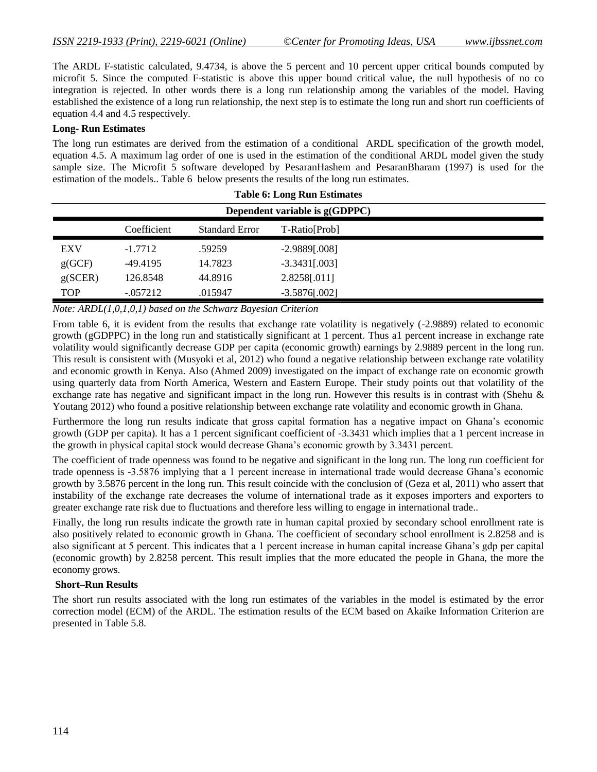The ARDL F-statistic calculated, 9.4734, is above the 5 percent and 10 percent upper critical bounds computed by microfit 5. Since the computed F-statistic is above this upper bound critical value, the null hypothesis of no co integration is rejected. In other words there is a long run relationship among the variables of the model. Having established the existence of a long run relationship, the next step is to estimate the long run and short run coefficients of equation 4.4 and 4.5 respectively.

## **Long- Run Estimates**

The long run estimates are derived from the estimation of a conditional ARDL specification of the growth model, equation 4.5. A maximum lag order of one is used in the estimation of the conditional ARDL model given the study sample size. The Microfit 5 software developed by PesaranHashem and PesaranBharam (1997) is used for the estimation of the models.. Table 6 below presents the results of the long run estimates.

| <b>Table 6: Long Run Estimates</b> |             |                       |                 |  |
|------------------------------------|-------------|-----------------------|-----------------|--|
| Dependent variable is $g(GDPPC)$   |             |                       |                 |  |
|                                    | Coefficient | <b>Standard Error</b> | T-Ratio[Prob]   |  |
| EXV                                | $-1.7712$   | .59259                | $-2.9889[.008]$ |  |
| g(GCF)                             | $-49.4195$  | 14.7823               | $-3.3431[.003]$ |  |
| g(SCER)                            | 126.8548    | 44.8916               | 2.8258[.011]    |  |
| <b>TOP</b>                         | $-.057212$  | .015947               | $-3.5876[.002]$ |  |

*Note: ARDL(1,0,1,0,1) based on the Schwarz Bayesian Criterion*

From table 6, it is evident from the results that exchange rate volatility is negatively (-2.9889) related to economic growth (gGDPPC) in the long run and statistically significant at 1 percent. Thus a1 percent increase in exchange rate volatility would significantly decrease GDP per capita (economic growth) earnings by 2.9889 percent in the long run. This result is consistent with (Musyoki et al, 2012) who found a negative relationship between exchange rate volatility and economic growth in Kenya. Also (Ahmed 2009) investigated on the impact of exchange rate on economic growth using quarterly data from North America, Western and Eastern Europe. Their study points out that volatility of the exchange rate has negative and significant impact in the long run. However this results is in contrast with (Shehu & Youtang 2012) who found a positive relationship between exchange rate volatility and economic growth in Ghana.

Furthermore the long run results indicate that gross capital formation has a negative impact on Ghana's economic growth (GDP per capita). It has a 1 percent significant coefficient of -3.3431 which implies that a 1 percent increase in the growth in physical capital stock would decrease Ghana's economic growth by 3.3431 percent.

The coefficient of trade openness was found to be negative and significant in the long run. The long run coefficient for trade openness is -3.5876 implying that a 1 percent increase in international trade would decrease Ghana's economic growth by 3.5876 percent in the long run. This result coincide with the conclusion of (Geza et al, 2011) who assert that instability of the exchange rate decreases the volume of international trade as it exposes importers and exporters to greater exchange rate risk due to fluctuations and therefore less willing to engage in international trade..

Finally, the long run results indicate the growth rate in human capital proxied by secondary school enrollment rate is also positively related to economic growth in Ghana. The coefficient of secondary school enrollment is 2.8258 and is also significant at 5 percent. This indicates that a 1 percent increase in human capital increase Ghana's gdp per capital (economic growth) by 2.8258 percent. This result implies that the more educated the people in Ghana, the more the economy grows.

## **Short–Run Results**

The short run results associated with the long run estimates of the variables in the model is estimated by the error correction model (ECM) of the ARDL. The estimation results of the ECM based on Akaike Information Criterion are presented in Table 5.8.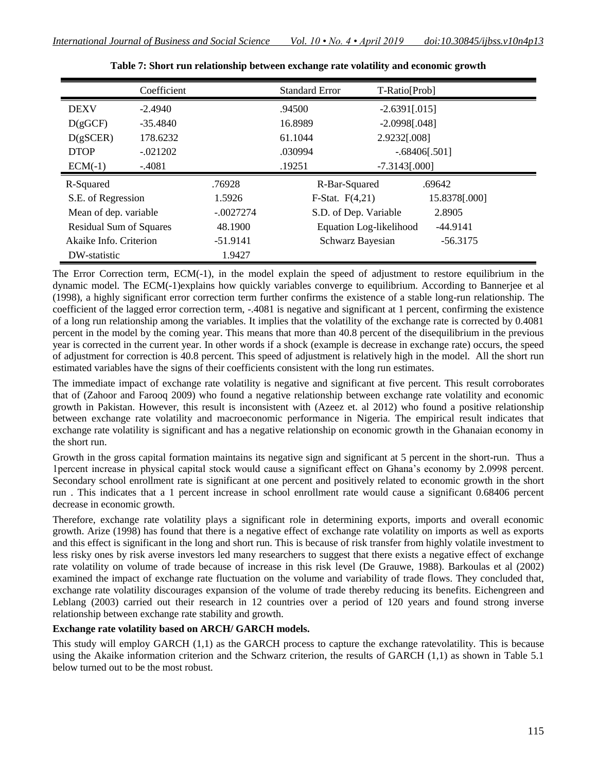|                                | Coefficient |             | <b>Standard Error</b> | T-Ratio[Prob]           |                 |
|--------------------------------|-------------|-------------|-----------------------|-------------------------|-----------------|
| <b>DEXV</b>                    | $-2.4940$   |             | .94500                | $-2.6391[.015]$         |                 |
| D(gGCF)                        | $-35.4840$  |             | 16.8989               | $-2.0998[.048]$         |                 |
| D(gSCER)                       | 178.6232    |             | 61.1044               | 2.9232[.008]            |                 |
| <b>DTOP</b>                    | $-.021202$  |             | .030994               |                         | $-.68406(.501)$ |
| $ECM(-1)$                      | $-.4081$    |             | .19251                | $-7.3143[.000]$         |                 |
| R-Squared                      |             | .76928      |                       | R-Bar-Squared           | .69642          |
| S.E. of Regression             |             | 1.5926      | $F-Stat. F(4,21)$     |                         | 15.8378[.000]   |
| Mean of dep. variable          |             | $-.0027274$ |                       | S.D. of Dep. Variable   | 2.8905          |
| <b>Residual Sum of Squares</b> |             | 48.1900     |                       | Equation Log-likelihood | $-44.9141$      |
| Akaike Info. Criterion         |             | $-51.9141$  |                       | Schwarz Bayesian        | $-56.3175$      |
| DW-statistic                   |             | 1.9427      |                       |                         |                 |

| Table 7: Short run relationship between exchange rate volatility and economic growth |  |  |
|--------------------------------------------------------------------------------------|--|--|
|                                                                                      |  |  |

The Error Correction term, ECM(-1), in the model explain the speed of adjustment to restore equilibrium in the dynamic model. The ECM(-1)explains how quickly variables converge to equilibrium. According to Bannerjee et al (1998), a highly significant error correction term further confirms the existence of a stable long-run relationship. The coefficient of the lagged error correction term, -.4081 is negative and significant at 1 percent, confirming the existence of a long run relationship among the variables. It implies that the volatility of the exchange rate is corrected by 0.4081 percent in the model by the coming year. This means that more than 40.8 percent of the disequilibrium in the previous year is corrected in the current year. In other words if a shock (example is decrease in exchange rate) occurs, the speed of adjustment for correction is 40.8 percent. This speed of adjustment is relatively high in the model. All the short run estimated variables have the signs of their coefficients consistent with the long run estimates.

The immediate impact of exchange rate volatility is negative and significant at five percent. This result corroborates that of (Zahoor and Farooq 2009) who found a negative relationship between exchange rate volatility and economic growth in Pakistan. However, this result is inconsistent with (Azeez et. al 2012) who found a positive relationship between exchange rate volatility and macroeconomic performance in Nigeria. The empirical result indicates that exchange rate volatility is significant and has a negative relationship on economic growth in the Ghanaian economy in the short run.

Growth in the gross capital formation maintains its negative sign and significant at 5 percent in the short-run. Thus a 1percent increase in physical capital stock would cause a significant effect on Ghana's economy by 2.0998 percent. Secondary school enrollment rate is significant at one percent and positively related to economic growth in the short run . This indicates that a 1 percent increase in school enrollment rate would cause a significant 0.68406 percent decrease in economic growth.

Therefore, exchange rate volatility plays a significant role in determining exports, imports and overall economic growth. Arize (1998) has found that there is a negative effect of exchange rate volatility on imports as well as exports and this effect is significant in the long and short run. This is because of risk transfer from highly volatile investment to less risky ones by risk averse investors led many researchers to suggest that there exists a negative effect of exchange rate volatility on volume of trade because of increase in this risk level (De Grauwe, 1988). Barkoulas et al (2002) examined the impact of exchange rate fluctuation on the volume and variability of trade flows. They concluded that, exchange rate volatility discourages expansion of the volume of trade thereby reducing its benefits. Eichengreen and Leblang (2003) carried out their research in 12 countries over a period of 120 years and found strong inverse relationship between exchange rate stability and growth.

## **Exchange rate volatility based on ARCH/ GARCH models.**

This study will employ GARCH (1,1) as the GARCH process to capture the exchange ratevolatility. This is because using the Akaike information criterion and the Schwarz criterion, the results of GARCH (1,1) as shown in Table 5.1 below turned out to be the most robust.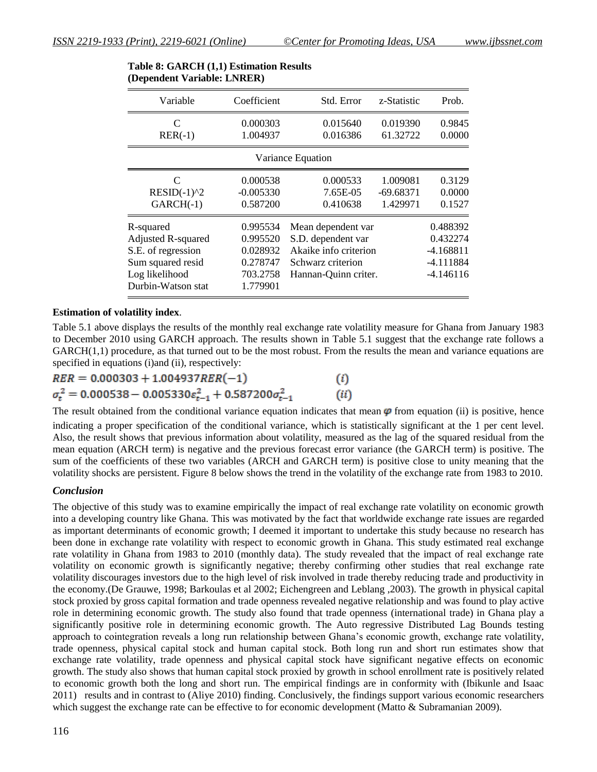| dent Variable: LNRER) |                      |                      |                      |                 |  |
|-----------------------|----------------------|----------------------|----------------------|-----------------|--|
| Variable              | Coefficient          | Std. Error           | z-Statistic          | Prob.           |  |
| DED(1)                | 0.000303<br>1.004027 | 0.015640<br>0.016296 | 0.019390<br>61.22722 | 0.9845<br>n nnn |  |

| Table 8: GARCH (1,1) Estimation Results |  |
|-----------------------------------------|--|
| (Dependent Variable: LNRER)             |  |

| C                                                                                                                         | 0.000303                                                             | 0.015640                                                                                                       | 0.019390    | 0.9845                                                            |
|---------------------------------------------------------------------------------------------------------------------------|----------------------------------------------------------------------|----------------------------------------------------------------------------------------------------------------|-------------|-------------------------------------------------------------------|
| $RER(-1)$                                                                                                                 | 1.004937                                                             | 0.016386                                                                                                       | 61.32722    | 0.0000                                                            |
|                                                                                                                           |                                                                      | Variance Equation                                                                                              |             |                                                                   |
| C                                                                                                                         | 0.000538                                                             | 0.000533                                                                                                       | 1.009081    | 0.3129                                                            |
| $RESID(-1)^{2}$                                                                                                           | $-0.005330$                                                          | 7.65E-05                                                                                                       | $-69.68371$ | 0.0000                                                            |
| $GARCH(-1)$                                                                                                               | 0.587200                                                             | 0.410638                                                                                                       | 1.429971    | 0.1527                                                            |
| R-squared<br><b>Adjusted R-squared</b><br>S.E. of regression<br>Sum squared resid<br>Log likelihood<br>Durbin-Watson stat | 0.995534<br>0.995520<br>0.028932<br>0.278747<br>703.2758<br>1.779901 | Mean dependent var<br>S.D. dependent var<br>Akaike info criterion<br>Schwarz criterion<br>Hannan-Quinn criter. |             | 0.488392<br>0.432274<br>$-4.168811$<br>$-4.111884$<br>$-4.146116$ |

#### **Estimation of volatility index**.

Table 5.1 above displays the results of the monthly real exchange rate volatility measure for Ghana from January 1983 to December 2010 using GARCH approach. The results shown in Table 5.1 suggest that the exchange rate follows a GARCH(1,1) procedure, as that turned out to be the most robust. From the results the mean and variance equations are specified in equations (i)and (ii), respectively:

| $RER = 0.000303 + 1.004937 RER(-1)$                                              |      |  |
|----------------------------------------------------------------------------------|------|--|
| $\sigma_t^2 = 0.000538 - 0.005330 \varepsilon_{t-1}^2 + 0.587200 \sigma_{t-1}^2$ | (ii) |  |

The result obtained from the conditional variance equation indicates that mean  $\varphi$  from equation (ii) is positive, hence indicating a proper specification of the conditional variance, which is statistically significant at the 1 per cent level. Also, the result shows that previous information about volatility, measured as the lag of the squared residual from the mean equation (ARCH term) is negative and the previous forecast error variance (the GARCH term) is positive. The

sum of the coefficients of these two variables (ARCH and GARCH term) is positive close to unity meaning that the volatility shocks are persistent. Figure 8 below shows the trend in the volatility of the exchange rate from 1983 to 2010.

## *Conclusion*

The objective of this study was to examine empirically the impact of real exchange rate volatility on economic growth into a developing country like Ghana. This was motivated by the fact that worldwide exchange rate issues are regarded as important determinants of economic growth; I deemed it important to undertake this study because no research has been done in exchange rate volatility with respect to economic growth in Ghana. This study estimated real exchange rate volatility in Ghana from 1983 to 2010 (monthly data). The study revealed that the impact of real exchange rate volatility on economic growth is significantly negative; thereby confirming other studies that real exchange rate volatility discourages investors due to the high level of risk involved in trade thereby reducing trade and productivity in the economy.(De Grauwe, 1998; Barkoulas et al 2002; Eichengreen and Leblang ,2003). The growth in physical capital stock proxied by gross capital formation and trade openness revealed negative relationship and was found to play active role in determining economic growth. The study also found that trade openness (international trade) in Ghana play a significantly positive role in determining economic growth. The Auto regressive Distributed Lag Bounds testing approach to cointegration reveals a long run relationship between Ghana's economic growth, exchange rate volatility, trade openness, physical capital stock and human capital stock. Both long run and short run estimates show that exchange rate volatility, trade openness and physical capital stock have significant negative effects on economic growth. The study also shows that human capital stock proxied by growth in school enrollment rate is positively related to economic growth both the long and short run. The empirical findings are in conformity with (Ibikunle and Isaac 2011) results and in contrast to (Aliye 2010) finding. Conclusively, the findings support various economic researchers which suggest the exchange rate can be effective to for economic development (Matto & Subramanian 2009).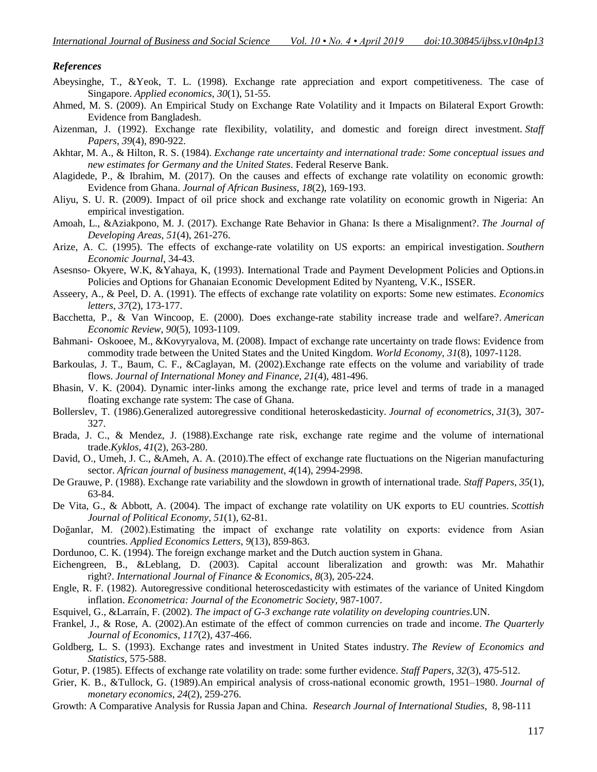#### *References*

- Abeysinghe, T., &Yeok, T. L. (1998). Exchange rate appreciation and export competitiveness. The case of Singapore. *Applied economics*, *30*(1), 51-55.
- Ahmed, M. S. (2009). An Empirical Study on Exchange Rate Volatility and it Impacts on Bilateral Export Growth: Evidence from Bangladesh.
- Aizenman, J. (1992). Exchange rate flexibility, volatility, and domestic and foreign direct investment. *Staff Papers*, *39*(4), 890-922.
- Akhtar, M. A., & Hilton, R. S. (1984). *Exchange rate uncertainty and international trade: Some conceptual issues and new estimates for Germany and the United States*. Federal Reserve Bank.
- Alagidede, P., & Ibrahim, M. (2017). On the causes and effects of exchange rate volatility on economic growth: Evidence from Ghana. *Journal of African Business*, *18*(2), 169-193.
- Aliyu, S. U. R. (2009). Impact of oil price shock and exchange rate volatility on economic growth in Nigeria: An empirical investigation.
- Amoah, L., &Aziakpono, M. J. (2017). Exchange Rate Behavior in Ghana: Is there a Misalignment?. *The Journal of Developing Areas*, *51*(4), 261-276.
- Arize, A. C. (1995). The effects of exchange-rate volatility on US exports: an empirical investigation. *Southern Economic Journal*, 34-43.
- Asesnso- Okyere, W.K, &Yahaya, K, (1993). International Trade and Payment Development Policies and Options.in Policies and Options for Ghanaian Economic Development Edited by Nyanteng, V.K., ISSER.
- Asseery, A., & Peel, D. A. (1991). The effects of exchange rate volatility on exports: Some new estimates. *Economics letters*, *37*(2), 173-177.
- Bacchetta, P., & Van Wincoop, E. (2000). Does exchange-rate stability increase trade and welfare?. *American Economic Review*, *90*(5), 1093-1109.
- Bahmani- Oskooee, M., &Kovyryalova, M. (2008). Impact of exchange rate uncertainty on trade flows: Evidence from commodity trade between the United States and the United Kingdom. *World Economy*, *31*(8), 1097-1128.
- Barkoulas, J. T., Baum, C. F., &Caglayan, M. (2002).Exchange rate effects on the volume and variability of trade flows. *Journal of International Money and Finance*, *21*(4), 481-496.
- Bhasin, V. K. (2004). Dynamic inter-links among the exchange rate, price level and terms of trade in a managed floating exchange rate system: The case of Ghana.
- Bollerslev, T. (1986).Generalized autoregressive conditional heteroskedasticity. *Journal of econometrics*, *31*(3), 307- 327.
- Brada, J. C., & Mendez, J. (1988).Exchange rate risk, exchange rate regime and the volume of international trade.*Kyklos*, *41*(2), 263-280.
- David, O., Umeh, J. C., &Ameh, A. A. (2010).The effect of exchange rate fluctuations on the Nigerian manufacturing sector. *African journal of business management*, *4*(14), 2994-2998.
- De Grauwe, P. (1988). Exchange rate variability and the slowdown in growth of international trade. *Staff Papers*, *35*(1), 63-84.
- De Vita, G., & Abbott, A. (2004). The impact of exchange rate volatility on UK exports to EU countries. *Scottish Journal of Political Economy*, *51*(1), 62-81.
- Doğanlar, M. (2002).Estimating the impact of exchange rate volatility on exports: evidence from Asian countries. *Applied Economics Letters*, *9*(13), 859-863.
- Dordunoo, C. K. (1994). The foreign exchange market and the Dutch auction system in Ghana.
- Eichengreen, B., &Leblang, D. (2003). Capital account liberalization and growth: was Mr. Mahathir right?. *International Journal of Finance & Economics*, *8*(3), 205-224.
- Engle, R. F. (1982). Autoregressive conditional heteroscedasticity with estimates of the variance of United Kingdom inflation. *Econometrica: Journal of the Econometric Society*, 987-1007.
- Esquivel, G., &Larraín, F. (2002). *The impact of G-3 exchange rate volatility on developing countries*.UN.
- Frankel, J., & Rose, A. (2002).An estimate of the effect of common currencies on trade and income. *The Quarterly Journal of Economics*, *117*(2), 437-466.
- Goldberg, L. S. (1993). Exchange rates and investment in United States industry. *The Review of Economics and Statistics*, 575-588.
- Gotur, P. (1985). Effects of exchange rate volatility on trade: some further evidence. *Staff Papers*, *32*(3), 475-512.
- Grier, K. B., &Tullock, G. (1989).An empirical analysis of cross-national economic growth, 1951–1980. *Journal of monetary economics*, *24*(2), 259-276.
- Growth: A Comparative Analysis for Russia Japan and China. *Research Journal of International Studies*, 8, 98-111